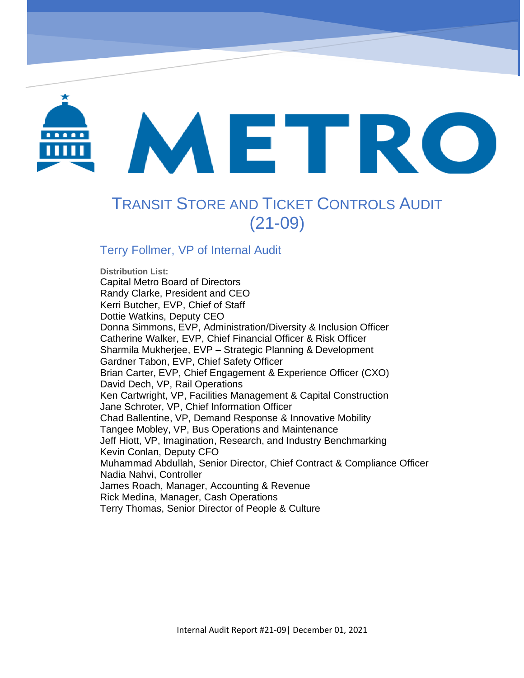

# METRO

# TRANSIT STORE AND TICKET CONTROLS AUDIT (21-09)

OrbCAD Service Delays Process Review (20-06)

# Terry Follmer, VP of Internal Audit

**Distribution List:**  Capital Metro Board of Directors Randy Clarke, President and CEO Kerri Butcher, EVP, Chief of Staff Dottie Watkins, Deputy CEO Donna Simmons, EVP, Administration/Diversity & Inclusion Officer Catherine Walker, EVP, Chief Financial Officer & Risk Officer Sharmila Mukherjee, EVP – Strategic Planning & Development Gardner Tabon, EVP, Chief Safety Officer Brian Carter, EVP, Chief Engagement & Experience Officer (CXO) David Dech, VP, Rail Operations Ken Cartwright, VP, Facilities Management & Capital Construction Jane Schroter, VP, Chief Information Officer Chad Ballentine, VP, Demand Response & Innovative Mobility Tangee Mobley, VP, Bus Operations and Maintenance Jeff Hiott, VP, Imagination, Research, and Industry Benchmarking Kevin Conlan, Deputy CFO Muhammad Abdullah, Senior Director, Chief Contract & Compliance Officer Nadia Nahvi, Controller James Roach, Manager, Accounting & Revenue Rick Medina, Manager, Cash Operations Terry Thomas, Senior Director of People & Culture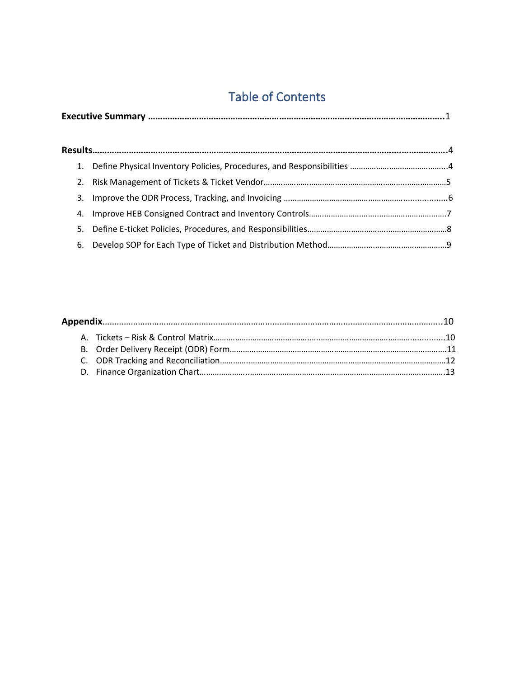# Table of Contents

|--|--|

| 3. |  |
|----|--|
|    |  |
|    |  |
|    |  |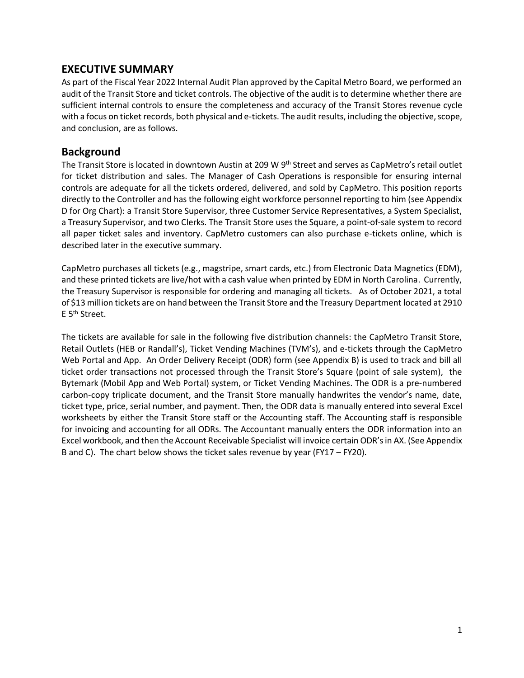#### **EXECUTIVE SUMMARY**

As part of the Fiscal Year 2022 Internal Audit Plan approved by the Capital Metro Board, we performed an audit of the Transit Store and ticket controls. The objective of the audit is to determine whether there are sufficient internal controls to ensure the completeness and accuracy of the Transit Stores revenue cycle with a focus on ticket records, both physical and e-tickets. The audit results, including the objective, scope, and conclusion, are as follows.

#### **Background**

The Transit Store is located in downtown Austin at 209 W 9<sup>th</sup> Street and serves as CapMetro's retail outlet for ticket distribution and sales. The Manager of Cash Operations is responsible for ensuring internal controls are adequate for all the tickets ordered, delivered, and sold by CapMetro. This position reports directly to the Controller and has the following eight workforce personnel reporting to him (see Appendix D for Org Chart): a Transit Store Supervisor, three Customer Service Representatives, a System Specialist, a Treasury Supervisor, and two Clerks. The Transit Store uses the Square, a point-of-sale system to record all paper ticket sales and inventory. CapMetro customers can also purchase e-tickets online, which is described later in the executive summary.

CapMetro purchases all tickets (e.g., magstripe, smart cards, etc.) from Electronic Data Magnetics (EDM), and these printed tickets are live/hot with a cash value when printed by EDM in North Carolina. Currently, the Treasury Supervisor is responsible for ordering and managing all tickets. As of October 2021, a total of \$13 million tickets are on hand between the Transit Store and the Treasury Department located at 2910 E 5th Street.

The tickets are available for sale in the following five distribution channels: the CapMetro Transit Store, Retail Outlets (HEB or Randall's), Ticket Vending Machines (TVM's), and e-tickets through the CapMetro Web Portal and App. An Order Delivery Receipt (ODR) form (see Appendix B) is used to track and bill all ticket order transactions not processed through the Transit Store's Square (point of sale system), the Bytemark (Mobil App and Web Portal) system, or Ticket Vending Machines. The ODR is a pre-numbered carbon-copy triplicate document, and the Transit Store manually handwrites the vendor's name, date, ticket type, price, serial number, and payment. Then, the ODR data is manually entered into several Excel worksheets by either the Transit Store staff or the Accounting staff. The Accounting staff is responsible for invoicing and accounting for all ODRs. The Accountant manually enters the ODR information into an Excel workbook, and then the Account Receivable Specialist will invoice certain ODR's in AX. (See Appendix B and C). The chart below shows the ticket sales revenue by year (FY17 – FY20).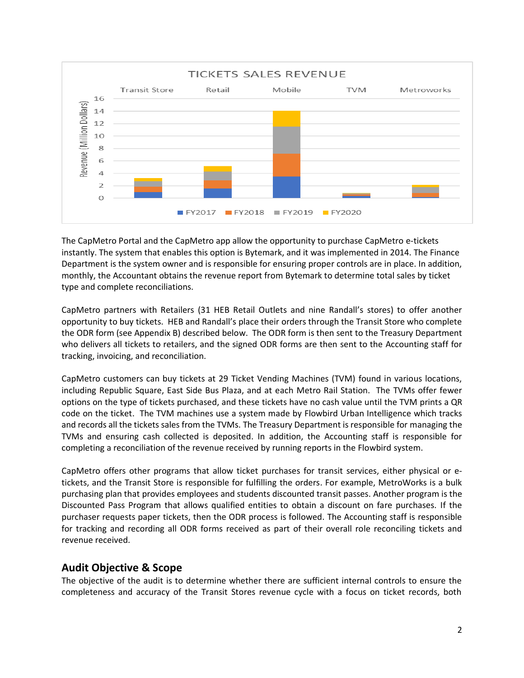

The CapMetro Portal and the CapMetro app allow the opportunity to purchase CapMetro e-tickets instantly. The system that enables this option is Bytemark, and it was implemented in 2014. The Finance Department is the system owner and is responsible for ensuring proper controls are in place. In addition, monthly, the Accountant obtains the revenue report from Bytemark to determine total sales by ticket type and complete reconciliations.

CapMetro partners with Retailers (31 HEB Retail Outlets and nine Randall's stores) to offer another opportunity to buy tickets. HEB and Randall's place their orders through the Transit Store who complete the ODR form (see Appendix B) described below. The ODR form is then sent to the Treasury Department who delivers all tickets to retailers, and the signed ODR forms are then sent to the Accounting staff for tracking, invoicing, and reconciliation.

CapMetro customers can buy tickets at 29 Ticket Vending Machines (TVM) found in various locations, including Republic Square, East Side Bus Plaza, and at each Metro Rail Station. The TVMs offer fewer options on the type of tickets purchased, and these tickets have no cash value until the TVM prints a QR code on the ticket. The TVM machines use a system made by Flowbird Urban Intelligence which tracks and records all the tickets sales from the TVMs. The Treasury Department is responsible for managing the TVMs and ensuring cash collected is deposited. In addition, the Accounting staff is responsible for completing a reconciliation of the revenue received by running reports in the Flowbird system.

CapMetro offers other programs that allow ticket purchases for transit services, either physical or etickets, and the Transit Store is responsible for fulfilling the orders. For example, MetroWorks is a bulk purchasing plan that provides employees and students discounted transit passes. Another program is the Discounted Pass Program that allows qualified entities to obtain a discount on fare purchases. If the purchaser requests paper tickets, then the ODR process is followed. The Accounting staff is responsible for tracking and recording all ODR forms received as part of their overall role reconciling tickets and revenue received.

#### **Audit Objective & Scope**

The objective of the audit is to determine whether there are sufficient internal controls to ensure the completeness and accuracy of the Transit Stores revenue cycle with a focus on ticket records, both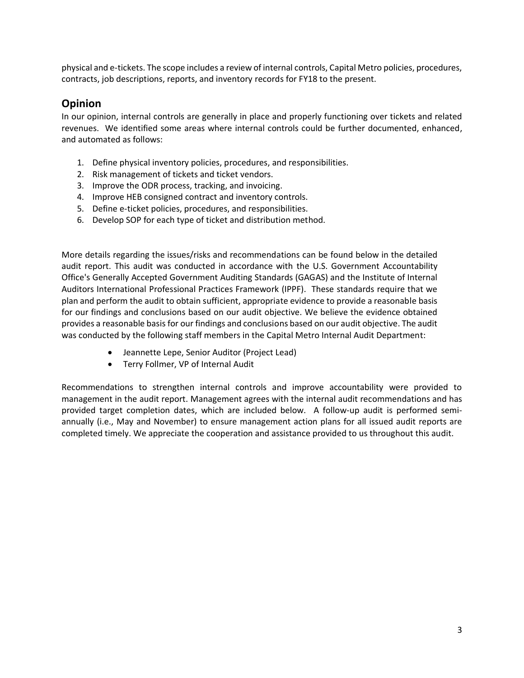physical and e-tickets. The scope includes a review of internal controls, Capital Metro policies, procedures, contracts, job descriptions, reports, and inventory records for FY18 to the present.

#### **Opinion**

In our opinion, internal controls are generally in place and properly functioning over tickets and related revenues. We identified some areas where internal controls could be further documented, enhanced, and automated as follows:

- 1. Define physical inventory policies, procedures, and responsibilities.
- 2. Risk management of tickets and ticket vendors.
- 3. Improve the ODR process, tracking, and invoicing.
- 4. Improve HEB consigned contract and inventory controls.
- 5. Define e-ticket policies, procedures, and responsibilities.
- 6. Develop SOP for each type of ticket and distribution method.

More details regarding the issues/risks and recommendations can be found below in the detailed audit report. This audit was conducted in accordance with the U.S. Government Accountability Office's Generally Accepted Government Auditing Standards (GAGAS) and the Institute of Internal Auditors International Professional Practices Framework (IPPF). These standards require that we plan and perform the audit to obtain sufficient, appropriate evidence to provide a reasonable basis for our findings and conclusions based on our audit objective. We believe the evidence obtained provides a reasonable basis for our findings and conclusions based on our audit objective. The audit was conducted by the following staff members in the Capital Metro Internal Audit Department:

- Jeannette Lepe, Senior Auditor (Project Lead)
- Terry Follmer, VP of Internal Audit

Recommendations to strengthen internal controls and improve accountability were provided to management in the audit report. Management agrees with the internal audit recommendations and has provided target completion dates, which are included below. A follow-up audit is performed semiannually (i.e., May and November) to ensure management action plans for all issued audit reports are completed timely. We appreciate the cooperation and assistance provided to us throughout this audit.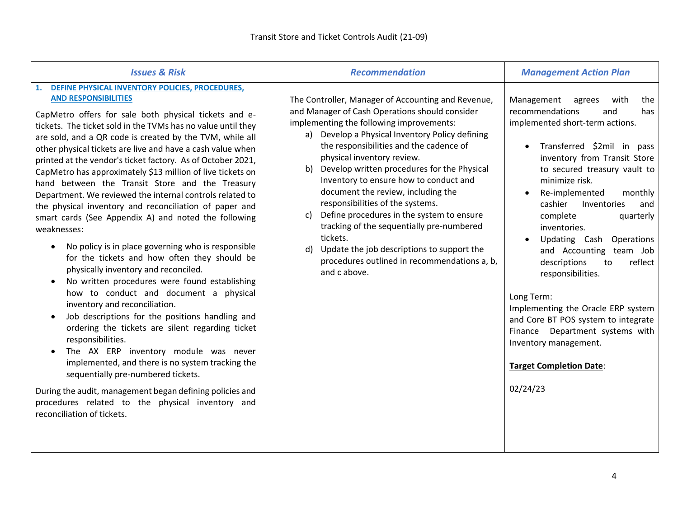| <b>Issues &amp; Risk</b>                                                                                                                                                                                                                                                                                                                                                                                                                                                                                                                                                                                                                                                                                                                                                                                                                                                                                                                                                                                                                                                                                                                                                                                                                                                                                                                                                                                    | <b>Recommendation</b>                                                                                                                                                                                                                                                                                                                                                                                                                                                                                                                                                                                                                                                                 | <b>Management Action Plan</b>                                                                                                                                                                                                                                                                                                                                                                                                                                                                                                                                                                                                                       |
|-------------------------------------------------------------------------------------------------------------------------------------------------------------------------------------------------------------------------------------------------------------------------------------------------------------------------------------------------------------------------------------------------------------------------------------------------------------------------------------------------------------------------------------------------------------------------------------------------------------------------------------------------------------------------------------------------------------------------------------------------------------------------------------------------------------------------------------------------------------------------------------------------------------------------------------------------------------------------------------------------------------------------------------------------------------------------------------------------------------------------------------------------------------------------------------------------------------------------------------------------------------------------------------------------------------------------------------------------------------------------------------------------------------|---------------------------------------------------------------------------------------------------------------------------------------------------------------------------------------------------------------------------------------------------------------------------------------------------------------------------------------------------------------------------------------------------------------------------------------------------------------------------------------------------------------------------------------------------------------------------------------------------------------------------------------------------------------------------------------|-----------------------------------------------------------------------------------------------------------------------------------------------------------------------------------------------------------------------------------------------------------------------------------------------------------------------------------------------------------------------------------------------------------------------------------------------------------------------------------------------------------------------------------------------------------------------------------------------------------------------------------------------------|
| DEFINE PHYSICAL INVENTORY POLICIES, PROCEDURES,<br>1.<br><b>AND RESPONSIBILITIES</b><br>CapMetro offers for sale both physical tickets and e-<br>tickets. The ticket sold in the TVMs has no value until they<br>are sold, and a QR code is created by the TVM, while all<br>other physical tickets are live and have a cash value when<br>printed at the vendor's ticket factory. As of October 2021,<br>CapMetro has approximately \$13 million of live tickets on<br>hand between the Transit Store and the Treasury<br>Department. We reviewed the internal controls related to<br>the physical inventory and reconciliation of paper and<br>smart cards (See Appendix A) and noted the following<br>weaknesses:<br>No policy is in place governing who is responsible<br>for the tickets and how often they should be<br>physically inventory and reconciled.<br>No written procedures were found establishing<br>how to conduct and document a physical<br>inventory and reconciliation.<br>Job descriptions for the positions handling and<br>ordering the tickets are silent regarding ticket<br>responsibilities.<br>The AX ERP inventory module was never<br>implemented, and there is no system tracking the<br>sequentially pre-numbered tickets.<br>During the audit, management began defining policies and<br>procedures related to the physical inventory and<br>reconciliation of tickets. | The Controller, Manager of Accounting and Revenue,<br>and Manager of Cash Operations should consider<br>implementing the following improvements:<br>a) Develop a Physical Inventory Policy defining<br>the responsibilities and the cadence of<br>physical inventory review.<br>Develop written procedures for the Physical<br>b)<br>Inventory to ensure how to conduct and<br>document the review, including the<br>responsibilities of the systems.<br>Define procedures in the system to ensure<br>c)<br>tracking of the sequentially pre-numbered<br>tickets.<br>Update the job descriptions to support the<br>d)<br>procedures outlined in recommendations a, b,<br>and c above. | Management<br>with<br>agrees<br>the<br>recommendations<br>and<br>has<br>implemented short-term actions.<br>Transferred \$2mil in pass<br>inventory from Transit Store<br>to secured treasury vault to<br>minimize risk.<br>Re-implemented<br>monthly<br>cashier<br>Inventories<br>and<br>complete<br>quarterly<br>inventories.<br>Updating Cash<br>Operations<br>and Accounting team Job<br>descriptions<br>reflect<br>to<br>responsibilities.<br>Long Term:<br>Implementing the Oracle ERP system<br>and Core BT POS system to integrate<br>Finance Department systems with<br>Inventory management.<br><b>Target Completion Date:</b><br>02/24/23 |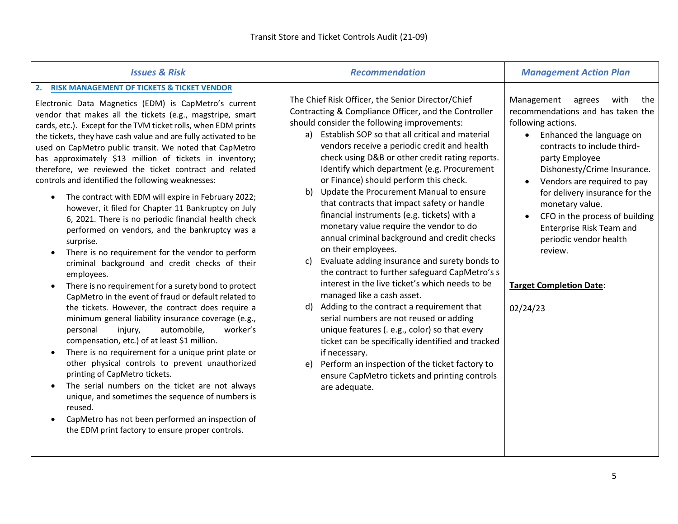| <b>RISK MANAGEMENT OF TICKETS &amp; TICKET VENDOR</b><br>2.<br>The Chief Risk Officer, the Senior Director/Chief<br>Management<br>agrees<br>with<br>Electronic Data Magnetics (EDM) is CapMetro's current<br>Contracting & Compliance Officer, and the Controller<br>vendor that makes all the tickets (e.g., magstripe, smart<br>should consider the following improvements:<br>following actions.<br>cards, etc.). Except for the TVM ticket rolls, when EDM prints<br>Establish SOP so that all critical and material<br>Enhanced the language on<br>a)<br>$\bullet$<br>the tickets, they have cash value and are fully activated to be<br>vendors receive a periodic credit and health<br>contracts to include third-<br>used on CapMetro public transit. We noted that CapMetro<br>check using D&B or other credit rating reports.<br>has approximately \$13 million of tickets in inventory;<br>party Employee<br>Identify which department (e.g. Procurement<br>therefore, we reviewed the ticket contract and related<br>controls and identified the following weaknesses:<br>or Finance) should perform this check.<br>Update the Procurement Manual to ensure<br>b)<br>The contract with EDM will expire in February 2022;<br>$\bullet$<br>that contracts that impact safety or handle<br>monetary value.<br>however, it filed for Chapter 11 Bankruptcy on July<br>financial instruments (e.g. tickets) with a<br>6, 2021. There is no periodic financial health check<br>monetary value require the vendor to do<br>Enterprise Risk Team and<br>performed on vendors, and the bankruptcy was a<br>annual criminal background and credit checks<br>periodic vendor health<br>surprise.<br>on their employees.<br>review.<br>There is no requirement for the vendor to perform<br>Evaluate adding insurance and surety bonds to<br>c)<br>criminal background and credit checks of their<br>the contract to further safeguard CapMetro's s<br>employees.<br>interest in the live ticket's which needs to be<br><b>Target Completion Date:</b><br>There is no requirement for a surety bond to protect<br>managed like a cash asset.<br>CapMetro in the event of fraud or default related to<br>Adding to the contract a requirement that<br>the tickets. However, the contract does require a<br>$\mathsf{d}$<br>02/24/23<br>serial numbers are not reused or adding<br>minimum general liability insurance coverage (e.g.,<br>unique features (. e.g., color) so that every<br>personal<br>automobile,<br>worker's<br>injury,<br>compensation, etc.) of at least \$1 million.<br>ticket can be specifically identified and tracked<br>There is no requirement for a unique print plate or<br>if necessary.<br>other physical controls to prevent unauthorized<br>Perform an inspection of the ticket factory to<br>e)<br>printing of CapMetro tickets.<br>ensure CapMetro tickets and printing controls<br>The serial numbers on the ticket are not always<br>are adequate.<br>unique, and sometimes the sequence of numbers is | <b>Issues &amp; Risk</b> | <b>Recommendation</b> | <b>Management Action Plan</b>                                                                                                                                              |
|-------------------------------------------------------------------------------------------------------------------------------------------------------------------------------------------------------------------------------------------------------------------------------------------------------------------------------------------------------------------------------------------------------------------------------------------------------------------------------------------------------------------------------------------------------------------------------------------------------------------------------------------------------------------------------------------------------------------------------------------------------------------------------------------------------------------------------------------------------------------------------------------------------------------------------------------------------------------------------------------------------------------------------------------------------------------------------------------------------------------------------------------------------------------------------------------------------------------------------------------------------------------------------------------------------------------------------------------------------------------------------------------------------------------------------------------------------------------------------------------------------------------------------------------------------------------------------------------------------------------------------------------------------------------------------------------------------------------------------------------------------------------------------------------------------------------------------------------------------------------------------------------------------------------------------------------------------------------------------------------------------------------------------------------------------------------------------------------------------------------------------------------------------------------------------------------------------------------------------------------------------------------------------------------------------------------------------------------------------------------------------------------------------------------------------------------------------------------------------------------------------------------------------------------------------------------------------------------------------------------------------------------------------------------------------------------------------------------------------------------------------------------------------------------------------------------------------------------------------------------------------------------------------------------------------------------------------------------------------------------------------------------------------------------|--------------------------|-----------------------|----------------------------------------------------------------------------------------------------------------------------------------------------------------------------|
| CapMetro has not been performed an inspection of<br>the EDM print factory to ensure proper controls.                                                                                                                                                                                                                                                                                                                                                                                                                                                                                                                                                                                                                                                                                                                                                                                                                                                                                                                                                                                                                                                                                                                                                                                                                                                                                                                                                                                                                                                                                                                                                                                                                                                                                                                                                                                                                                                                                                                                                                                                                                                                                                                                                                                                                                                                                                                                                                                                                                                                                                                                                                                                                                                                                                                                                                                                                                                                                                                                      | reused.                  |                       | the<br>recommendations and has taken the<br>Dishonesty/Crime Insurance.<br>Vendors are required to pay<br>for delivery insurance for the<br>CFO in the process of building |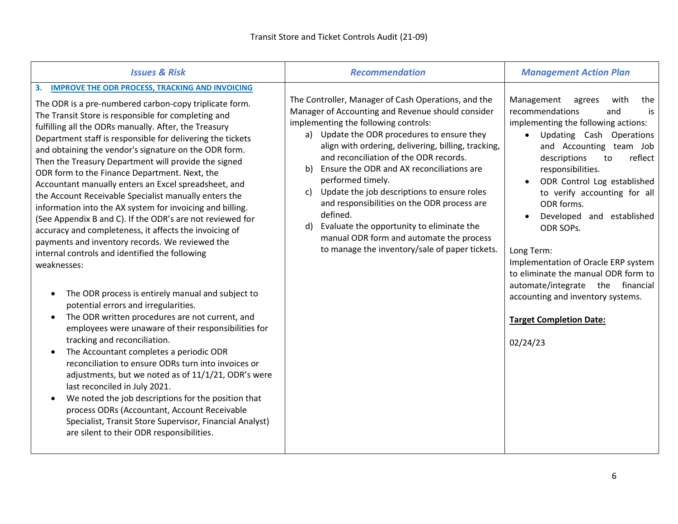| <b>Issues &amp; Risk</b>                                                                                                                                                                                                                                                                                                                                                                                                                                                                                                                                                                                                                                                                                                                                                                                                                                                                                                                                                                                                                                                                                                                                                                                                                                                                                                                                                                                                                                                                                                                          | <b>Recommendation</b>                                                                                                                                                                                                                                                                                                                                                                                                                                                                                                                                                                                                                               | <b>Management Action Plan</b>                                                                                                                                                                                                                                                                                                                                                                                                                                                                                                                                     |
|---------------------------------------------------------------------------------------------------------------------------------------------------------------------------------------------------------------------------------------------------------------------------------------------------------------------------------------------------------------------------------------------------------------------------------------------------------------------------------------------------------------------------------------------------------------------------------------------------------------------------------------------------------------------------------------------------------------------------------------------------------------------------------------------------------------------------------------------------------------------------------------------------------------------------------------------------------------------------------------------------------------------------------------------------------------------------------------------------------------------------------------------------------------------------------------------------------------------------------------------------------------------------------------------------------------------------------------------------------------------------------------------------------------------------------------------------------------------------------------------------------------------------------------------------|-----------------------------------------------------------------------------------------------------------------------------------------------------------------------------------------------------------------------------------------------------------------------------------------------------------------------------------------------------------------------------------------------------------------------------------------------------------------------------------------------------------------------------------------------------------------------------------------------------------------------------------------------------|-------------------------------------------------------------------------------------------------------------------------------------------------------------------------------------------------------------------------------------------------------------------------------------------------------------------------------------------------------------------------------------------------------------------------------------------------------------------------------------------------------------------------------------------------------------------|
| <b>IMPROVE THE ODR PROCESS, TRACKING AND INVOICING</b><br>3.<br>The ODR is a pre-numbered carbon-copy triplicate form.<br>The Transit Store is responsible for completing and<br>fulfilling all the ODRs manually. After, the Treasury<br>Department staff is responsible for delivering the tickets<br>and obtaining the vendor's signature on the ODR form.<br>Then the Treasury Department will provide the signed<br>ODR form to the Finance Department. Next, the<br>Accountant manually enters an Excel spreadsheet, and<br>the Account Receivable Specialist manually enters the<br>information into the AX system for invoicing and billing.<br>(See Appendix B and C). If the ODR's are not reviewed for<br>accuracy and completeness, it affects the invoicing of<br>payments and inventory records. We reviewed the<br>internal controls and identified the following<br>weaknesses:<br>The ODR process is entirely manual and subject to<br>potential errors and irregularities.<br>The ODR written procedures are not current, and<br>employees were unaware of their responsibilities for<br>tracking and reconciliation.<br>The Accountant completes a periodic ODR<br>reconciliation to ensure ODRs turn into invoices or<br>adjustments, but we noted as of 11/1/21, ODR's were<br>last reconciled in July 2021.<br>We noted the job descriptions for the position that<br>process ODRs (Accountant, Account Receivable<br>Specialist, Transit Store Supervisor, Financial Analyst)<br>are silent to their ODR responsibilities. | The Controller, Manager of Cash Operations, and the<br>Manager of Accounting and Revenue should consider<br>implementing the following controls:<br>a) Update the ODR procedures to ensure they<br>align with ordering, delivering, billing, tracking,<br>and reconciliation of the ODR records.<br>Ensure the ODR and AX reconciliations are<br>b)<br>performed timely.<br>Update the job descriptions to ensure roles<br>c)<br>and responsibilities on the ODR process are<br>defined.<br>Evaluate the opportunity to eliminate the<br>$\mathsf{d}$<br>manual ODR form and automate the process<br>to manage the inventory/sale of paper tickets. | Management<br>with<br>agrees<br>the<br>recommendations<br>is<br>and<br>implementing the following actions:<br>Updating Cash Operations<br>and Accounting team Job<br>descriptions<br>reflect<br>to<br>responsibilities.<br>ODR Control Log established<br>to verify accounting for all<br>ODR forms.<br>Developed and established<br>ODR SOPS.<br>Long Term:<br>Implementation of Oracle ERP system<br>to eliminate the manual ODR form to<br>automate/integrate the financial<br>accounting and inventory systems.<br><b>Target Completion Date:</b><br>02/24/23 |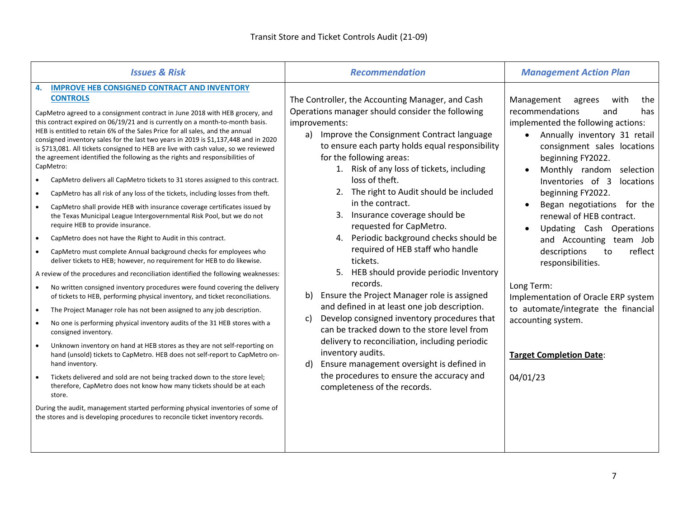| <b>Issues &amp; Risk</b>                                                                                                                                                                                                                                                                                                                                                                                                                                                                                                                                                                                                                                                                                                                                                                                                                                                                                                                                                                                                                                                                                                                                                                                                                                                                                                                                                                                                                                                                                                                                                                                                                                                                                                                                                                                                                                                                                                                                                                                                                                                                                                                                                                            | <b>Recommendation</b>                                                                                                                                                                                                                                                                                                                                                                                                                                                                                                                                                                                                                                                                                                                                                                                                                                                                                                                                                                                                   | <b>Management Action Plan</b>                                                                                                                                                                                                                                                                                                                                                                                                                                                                                                                                                                                           |
|-----------------------------------------------------------------------------------------------------------------------------------------------------------------------------------------------------------------------------------------------------------------------------------------------------------------------------------------------------------------------------------------------------------------------------------------------------------------------------------------------------------------------------------------------------------------------------------------------------------------------------------------------------------------------------------------------------------------------------------------------------------------------------------------------------------------------------------------------------------------------------------------------------------------------------------------------------------------------------------------------------------------------------------------------------------------------------------------------------------------------------------------------------------------------------------------------------------------------------------------------------------------------------------------------------------------------------------------------------------------------------------------------------------------------------------------------------------------------------------------------------------------------------------------------------------------------------------------------------------------------------------------------------------------------------------------------------------------------------------------------------------------------------------------------------------------------------------------------------------------------------------------------------------------------------------------------------------------------------------------------------------------------------------------------------------------------------------------------------------------------------------------------------------------------------------------------------|-------------------------------------------------------------------------------------------------------------------------------------------------------------------------------------------------------------------------------------------------------------------------------------------------------------------------------------------------------------------------------------------------------------------------------------------------------------------------------------------------------------------------------------------------------------------------------------------------------------------------------------------------------------------------------------------------------------------------------------------------------------------------------------------------------------------------------------------------------------------------------------------------------------------------------------------------------------------------------------------------------------------------|-------------------------------------------------------------------------------------------------------------------------------------------------------------------------------------------------------------------------------------------------------------------------------------------------------------------------------------------------------------------------------------------------------------------------------------------------------------------------------------------------------------------------------------------------------------------------------------------------------------------------|
| <b>IMPROVE HEB CONSIGNED CONTRACT AND INVENTORY</b><br>4.<br><b>CONTROLS</b><br>CapMetro agreed to a consignment contract in June 2018 with HEB grocery, and<br>this contract expired on 06/19/21 and is currently on a month-to-month basis.<br>HEB is entitled to retain 6% of the Sales Price for all sales, and the annual<br>consigned inventory sales for the last two years in 2019 is \$1,137,448 and in 2020<br>is \$713,081. All tickets consigned to HEB are live with cash value, so we reviewed<br>the agreement identified the following as the rights and responsibilities of<br>CapMetro:<br>CapMetro delivers all CapMetro tickets to 31 stores assigned to this contract.<br>CapMetro has all risk of any loss of the tickets, including losses from theft.<br>$\bullet$<br>CapMetro shall provide HEB with insurance coverage certificates issued by<br>the Texas Municipal League Intergovernmental Risk Pool, but we do not<br>require HEB to provide insurance.<br>CapMetro does not have the Right to Audit in this contract.<br>$\bullet$<br>CapMetro must complete Annual background checks for employees who<br>deliver tickets to HEB; however, no requirement for HEB to do likewise.<br>A review of the procedures and reconciliation identified the following weaknesses:<br>No written consigned inventory procedures were found covering the delivery<br>$\bullet$<br>of tickets to HEB, performing physical inventory, and ticket reconciliations.<br>The Project Manager role has not been assigned to any job description.<br>$\bullet$<br>No one is performing physical inventory audits of the 31 HEB stores with a<br>consigned inventory.<br>Unknown inventory on hand at HEB stores as they are not self-reporting on<br>hand (unsold) tickets to CapMetro. HEB does not self-report to CapMetro on-<br>hand inventory.<br>Tickets delivered and sold are not being tracked down to the store level;<br>therefore, CapMetro does not know how many tickets should be at each<br>store.<br>During the audit, management started performing physical inventories of some of<br>the stores and is developing procedures to reconcile ticket inventory records. | The Controller, the Accounting Manager, and Cash<br>Operations manager should consider the following<br>improvements:<br>Improve the Consignment Contract language<br>a)<br>to ensure each party holds equal responsibility<br>for the following areas:<br>1. Risk of any loss of tickets, including<br>loss of theft.<br>2. The right to Audit should be included<br>in the contract.<br>3. Insurance coverage should be<br>requested for CapMetro.<br>4. Periodic background checks should be<br>required of HEB staff who handle<br>tickets.<br>5. HEB should provide periodic Inventory<br>records.<br>b)<br>Ensure the Project Manager role is assigned<br>and defined in at least one job description.<br>Develop consigned inventory procedures that<br>c)<br>can be tracked down to the store level from<br>delivery to reconciliation, including periodic<br>inventory audits.<br>d)<br>Ensure management oversight is defined in<br>the procedures to ensure the accuracy and<br>completeness of the records. | Management<br>agrees<br>with<br>the<br>recommendations<br>and<br>has<br>implemented the following actions:<br>Annually inventory 31 retail<br>consignment sales locations<br>beginning FY2022.<br>Monthly random selection<br>Inventories of 3<br>locations<br>beginning FY2022.<br>Began negotiations for the<br>renewal of HEB contract.<br>Updating Cash Operations<br>and Accounting team Job<br>descriptions<br>reflect<br>to<br>responsibilities.<br>Long Term:<br>Implementation of Oracle ERP system<br>to automate/integrate the financial<br>accounting system.<br><b>Target Completion Date:</b><br>04/01/23 |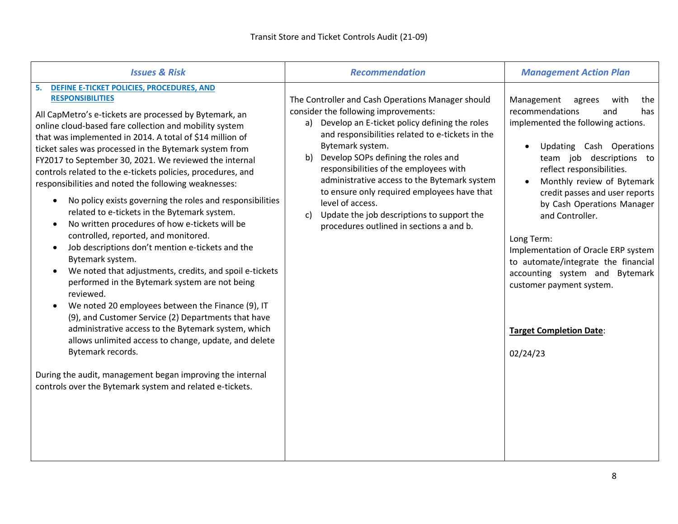| <b>Issues &amp; Risk</b>                                                                                                                                                                                                                                                                                                                                                                                                                                                                                                                                                                                                                                                                                                                                                                                                                                                                                                                                                                                                                                                                                                                                                                                                                                                                              | <b>Recommendation</b>                                                                                                                                                                                                                                                                                                                                                                                                                                                                                                           | <b>Management Action Plan</b>                                                                                                                                                                                                                                                                                                                                                                                                                                                                                            |
|-------------------------------------------------------------------------------------------------------------------------------------------------------------------------------------------------------------------------------------------------------------------------------------------------------------------------------------------------------------------------------------------------------------------------------------------------------------------------------------------------------------------------------------------------------------------------------------------------------------------------------------------------------------------------------------------------------------------------------------------------------------------------------------------------------------------------------------------------------------------------------------------------------------------------------------------------------------------------------------------------------------------------------------------------------------------------------------------------------------------------------------------------------------------------------------------------------------------------------------------------------------------------------------------------------|---------------------------------------------------------------------------------------------------------------------------------------------------------------------------------------------------------------------------------------------------------------------------------------------------------------------------------------------------------------------------------------------------------------------------------------------------------------------------------------------------------------------------------|--------------------------------------------------------------------------------------------------------------------------------------------------------------------------------------------------------------------------------------------------------------------------------------------------------------------------------------------------------------------------------------------------------------------------------------------------------------------------------------------------------------------------|
| DEFINE E-TICKET POLICIES, PROCEDURES, AND<br>5.<br><b>RESPONSIBILITIES</b><br>All CapMetro's e-tickets are processed by Bytemark, an<br>online cloud-based fare collection and mobility system<br>that was implemented in 2014. A total of \$14 million of<br>ticket sales was processed in the Bytemark system from<br>FY2017 to September 30, 2021. We reviewed the internal<br>controls related to the e-tickets policies, procedures, and<br>responsibilities and noted the following weaknesses:<br>No policy exists governing the roles and responsibilities<br>$\bullet$<br>related to e-tickets in the Bytemark system.<br>No written procedures of how e-tickets will be<br>controlled, reported, and monitored.<br>Job descriptions don't mention e-tickets and the<br>Bytemark system.<br>We noted that adjustments, credits, and spoil e-tickets<br>performed in the Bytemark system are not being<br>reviewed.<br>We noted 20 employees between the Finance (9), IT<br>(9), and Customer Service (2) Departments that have<br>administrative access to the Bytemark system, which<br>allows unlimited access to change, update, and delete<br>Bytemark records.<br>During the audit, management began improving the internal<br>controls over the Bytemark system and related e-tickets. | The Controller and Cash Operations Manager should<br>consider the following improvements:<br>a) Develop an E-ticket policy defining the roles<br>and responsibilities related to e-tickets in the<br>Bytemark system.<br>Develop SOPs defining the roles and<br>b)<br>responsibilities of the employees with<br>administrative access to the Bytemark system<br>to ensure only required employees have that<br>level of access.<br>Update the job descriptions to support the<br>c)<br>procedures outlined in sections a and b. | Management<br>agrees<br>with<br>the<br>recommendations<br>has<br>and<br>implemented the following actions.<br>Updating Cash Operations<br>team job descriptions to<br>reflect responsibilities.<br>Monthly review of Bytemark<br>credit passes and user reports<br>by Cash Operations Manager<br>and Controller.<br>Long Term:<br>Implementation of Oracle ERP system<br>to automate/integrate the financial<br>accounting system and Bytemark<br>customer payment system.<br><b>Target Completion Date:</b><br>02/24/23 |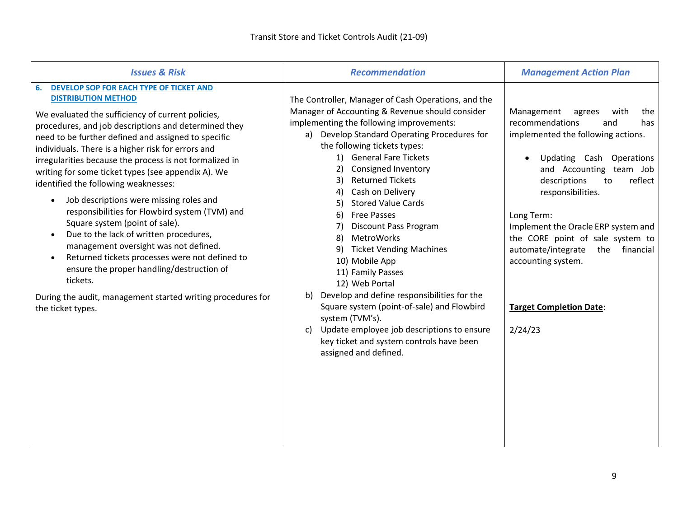| <b>Issues &amp; Risk</b>                                                                                                                                                                                                                                                                                                                                                                                                                                                                                                                                                                                                                                                                                                                                                                                                                                                                     | <b>Recommendation</b>                                                                                                                                                                                                                                                                                                                                                                                                                                                                                                                                                                                                                                                                                                                                                                                             | <b>Management Action Plan</b>                                                                                                                                                                                                                                                                                                                                                                                                 |
|----------------------------------------------------------------------------------------------------------------------------------------------------------------------------------------------------------------------------------------------------------------------------------------------------------------------------------------------------------------------------------------------------------------------------------------------------------------------------------------------------------------------------------------------------------------------------------------------------------------------------------------------------------------------------------------------------------------------------------------------------------------------------------------------------------------------------------------------------------------------------------------------|-------------------------------------------------------------------------------------------------------------------------------------------------------------------------------------------------------------------------------------------------------------------------------------------------------------------------------------------------------------------------------------------------------------------------------------------------------------------------------------------------------------------------------------------------------------------------------------------------------------------------------------------------------------------------------------------------------------------------------------------------------------------------------------------------------------------|-------------------------------------------------------------------------------------------------------------------------------------------------------------------------------------------------------------------------------------------------------------------------------------------------------------------------------------------------------------------------------------------------------------------------------|
| DEVELOP SOP FOR EACH TYPE OF TICKET AND<br>6.<br><b>DISTRIBUTION METHOD</b><br>We evaluated the sufficiency of current policies,<br>procedures, and job descriptions and determined they<br>need to be further defined and assigned to specific<br>individuals. There is a higher risk for errors and<br>irregularities because the process is not formalized in<br>writing for some ticket types (see appendix A). We<br>identified the following weaknesses:<br>Job descriptions were missing roles and<br>$\bullet$<br>responsibilities for Flowbird system (TVM) and<br>Square system (point of sale).<br>Due to the lack of written procedures,<br>management oversight was not defined.<br>Returned tickets processes were not defined to<br>ensure the proper handling/destruction of<br>tickets.<br>During the audit, management started writing procedures for<br>the ticket types. | The Controller, Manager of Cash Operations, and the<br>Manager of Accounting & Revenue should consider<br>implementing the following improvements:<br>a) Develop Standard Operating Procedures for<br>the following tickets types:<br>1) General Fare Tickets<br>2)<br><b>Consigned Inventory</b><br><b>Returned Tickets</b><br>3)<br>Cash on Delivery<br>4)<br><b>Stored Value Cards</b><br>5)<br>6) Free Passes<br>7)<br><b>Discount Pass Program</b><br>8)<br>MetroWorks<br>9) Ticket Vending Machines<br>10) Mobile App<br>11) Family Passes<br>12) Web Portal<br>Develop and define responsibilities for the<br>b)<br>Square system (point-of-sale) and Flowbird<br>system (TVM's).<br>Update employee job descriptions to ensure<br>C)<br>key ticket and system controls have been<br>assigned and defined. | Management<br>agrees<br>with<br>the<br>recommendations<br>and<br>has<br>implemented the following actions.<br>Updating Cash Operations<br>and Accounting team Job<br>descriptions<br>reflect<br>to<br>responsibilities.<br>Long Term:<br>Implement the Oracle ERP system and<br>the CORE point of sale system to<br>automate/integrate<br>the<br>financial<br>accounting system.<br><b>Target Completion Date:</b><br>2/24/23 |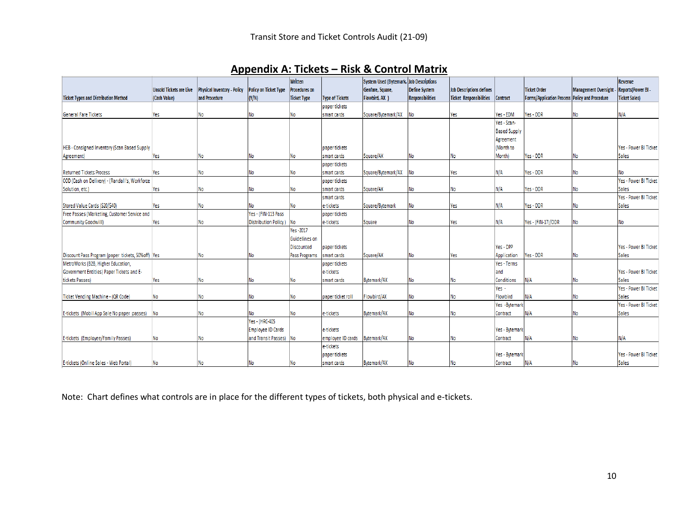|                                                      |                                |                                    |                              | <b>Written</b>       |                        | System Used (Bytemark, Job Descriptions |                  |                                 |                     |                                                |                             | Revenue                      |
|------------------------------------------------------|--------------------------------|------------------------------------|------------------------------|----------------------|------------------------|-----------------------------------------|------------------|---------------------------------|---------------------|------------------------------------------------|-----------------------------|------------------------------|
|                                                      | <b>Unsold Tickets are Live</b> | <b>Physical Inventory - Policy</b> | <b>Policy on Ticket Type</b> | <b>Procedures on</b> |                        | Genfare, Square,                        | Define System    | <b>Job Descriptions defines</b> |                     | <b>Ticket Order</b>                            | <b>Management Oversight</b> | <b>Reports(Power BI-</b>     |
| <b>Ticket Types and Distribution Method</b>          | (Cash Value)                   | and Procedure                      | (Y/N)                        | <b>Ticket Type</b>   | <b>Type of Tickets</b> | Flowbird, AX )                          | Responsibilities | <b>Ticket Responsibilities</b>  | <b>Contract</b>     | Forms/Application Process Policy and Procedure |                             | <b>Ticket Sales)</b>         |
|                                                      |                                |                                    |                              |                      | paper tickets          |                                         |                  |                                 |                     |                                                |                             |                              |
| <b>General Fare Tickets</b>                          | Yes                            | No                                 | No                           | No                   | smart cards            | Square/Bytemark/AX                      | <b>No</b>        | Yes                             | Yes - EDM           | Yes - ODR                                      | No                          | N/A                          |
|                                                      |                                |                                    |                              |                      |                        |                                         |                  |                                 | Yes - Scan-         |                                                |                             |                              |
|                                                      |                                |                                    |                              |                      |                        |                                         |                  |                                 | <b>Based Supply</b> |                                                |                             |                              |
|                                                      |                                |                                    |                              |                      |                        |                                         |                  |                                 | Agreement           |                                                |                             |                              |
| HEB - Consigned Inventory (Scan Based Supply         |                                |                                    |                              |                      | paper tickets          |                                         |                  |                                 | (Month to           |                                                |                             | Yes - Power BI Ticket        |
| Agreement)                                           | Yes                            | No                                 | No                           | No                   | smart cards            | Square/AX                               | No               | No                              | Month)              | Yes - ODR                                      | No                          | Sales                        |
|                                                      |                                |                                    |                              |                      | paper tickets          |                                         |                  |                                 |                     |                                                |                             |                              |
| <b>Returned Tickets Process</b>                      | Yes                            | No                                 | No                           | No                   | smart cards            | Square/Bytemark/AX                      | No               | Yes                             | N/A                 | Yes - ODR                                      | No                          | No                           |
| COD (Cash on Delivery) - (Randall's, Workforce       |                                |                                    |                              |                      | paper tickets          |                                         |                  |                                 |                     |                                                |                             | <b>Yes - Power BI Ticket</b> |
| Solution, etc.)                                      | Yes                            | No                                 | No                           | No                   | smart cards            | Square/AX                               | No               | No                              | N/A                 | Yes - ODR                                      | No                          | <b>Sales</b>                 |
|                                                      |                                |                                    |                              |                      | smart cards            |                                         |                  |                                 |                     |                                                |                             | Yes - Power BI Ticket        |
| Stored Value Cards (\$20/\$40)                       | Yes                            | No                                 | No                           | No                   | e-tickets              | Square/Bytemark                         | No               | Yes                             | N/A                 | Yes - ODR                                      | No                          | <b>Sales</b>                 |
| Free Passes (Marketing, Customer Service and         |                                |                                    | Yes - (FIN-113 Pass          |                      | paper tickets          |                                         |                  |                                 |                     |                                                |                             |                              |
| Community Goodwill)                                  | Yes                            | No                                 | Distribution Policy)         | No                   | e-tickets              | Square                                  | No               | Yes                             | N/A                 | Yes - (FIN-17)/ODR                             | No                          | No                           |
|                                                      |                                |                                    |                              | Yes-2017             |                        |                                         |                  |                                 |                     |                                                |                             |                              |
|                                                      |                                |                                    |                              | Guidelines on        |                        |                                         |                  |                                 |                     |                                                |                             |                              |
|                                                      |                                |                                    |                              | <b>Discounted</b>    | paper tickets          |                                         |                  |                                 | Yes - DPP           |                                                |                             | Yes - Power BI Ticket        |
| Discount Pass Program (paper tickets, 50% off)   Yes |                                | No                                 | No                           | Pass Programs        | smart cards            | Square/AX                               | No               | Yes                             | Application         | Yes - ODR                                      | No                          | Sales                        |
| MetroWorks (B2B, Higher Education,                   |                                |                                    |                              |                      | paper tickets          |                                         |                  |                                 | Yes - Terms         |                                                |                             |                              |
| Government Entities) Paper Tickets and E-            |                                |                                    |                              |                      | e-tickets              |                                         |                  |                                 | land                |                                                |                             | Yes - Power BI Ticket        |
| tickets Passes)                                      | Yes                            | No                                 | No                           | No                   | smart cards            | <b>Bytemark/AX</b>                      | No               | No                              | Conditions          | N/A                                            | No                          | <b>Sales</b>                 |
|                                                      |                                |                                    |                              |                      |                        |                                         |                  |                                 | Yes -               |                                                |                             | Yes - Power BI Ticket        |
| Ticket Vending Machine - (QR Code)                   | No                             | No                                 | No                           | No                   | paper ticket roll      | Flowbird/AX                             | No               | No                              | Flowbird            | N/A                                            | No                          | Sales                        |
|                                                      |                                |                                    |                              |                      |                        |                                         |                  |                                 | Yes - Bytemark      |                                                |                             | Yes - Power BI Ticket        |
| E-tickets (Mobil App Sale No paper passes)           | <b>No</b>                      | <b>No</b>                          | No                           | No                   | e-tickets              | <b>Bytemark/AX</b>                      | No               | No                              | Contract            | N/A                                            | No                          | <b>Sales</b>                 |
|                                                      |                                |                                    | Yes - (HRC-405               |                      |                        |                                         |                  |                                 |                     |                                                |                             |                              |
|                                                      |                                |                                    | Employee ID Cards            |                      | e-tickets              |                                         |                  |                                 | Yes - Bytemark      |                                                |                             |                              |
| E-tickets (Employee/Family Passes)                   | No                             | No                                 | and Transit Passes) No       |                      | employee ID cards      | Bytemark/AX                             | No               | No                              | Contract            | N/A                                            | No                          | N/A                          |
|                                                      |                                |                                    |                              |                      | e-tickets              |                                         |                  |                                 |                     |                                                |                             |                              |
|                                                      |                                |                                    |                              |                      | paper tickets          |                                         |                  |                                 | Yes - Bytemark      |                                                |                             | Yes - Power BI Ticket        |
| E-tickets (Online Sales - Web Portal)                | No                             | No                                 | No                           | No                   | smart cards            | Bytemark/AX                             | No               | No                              | Contract            | N/A                                            | No                          | Sales                        |

## **Appendix A: Tickets – Risk & Control Matrix**

Note: Chart defines what controls are in place for the different types of tickets, both physical and e-tickets.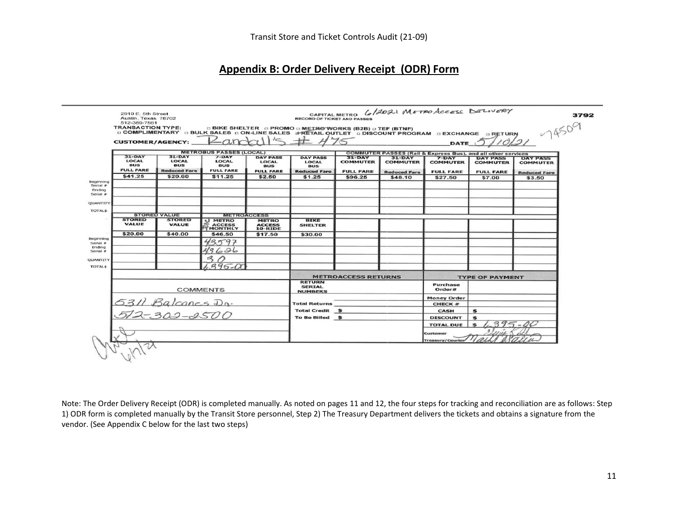## **Appendix B: Order Delivery Receipt (ODR) Form**

|                           | <b>TRANSACTION TYPE:</b>                            |                                                                 | D COMPLIMENTARY D BULK SALES DON-LINE SALES #RETAIL OUTLET D DISCOUNT PROGRAM D EXCHANGE D RETURN |                                                                   | □ BIKE SHELTER □ PROMO □ METRO WORKS (B2B) □ TEF (BTNF)              |                                                 |                                                    |                                                                         |                                                        | $-7450$                                                   |
|---------------------------|-----------------------------------------------------|-----------------------------------------------------------------|---------------------------------------------------------------------------------------------------|-------------------------------------------------------------------|----------------------------------------------------------------------|-------------------------------------------------|----------------------------------------------------|-------------------------------------------------------------------------|--------------------------------------------------------|-----------------------------------------------------------|
|                           | <b>CUSTOMER/AGENCY:</b>                             |                                                                 | $L$ and                                                                                           |                                                                   |                                                                      |                                                 |                                                    | <b>DATE</b>                                                             |                                                        | 0/21                                                      |
|                           |                                                     |                                                                 | <b>METROBUS PASSES (LOCAL)</b>                                                                    |                                                                   |                                                                      |                                                 |                                                    | <b>COMMUTER PASSES (Rail &amp; Express Bus), and all other services</b> |                                                        |                                                           |
|                           | $31-DAY$<br>LOCAL<br><b>BUS</b><br><b>FULL FARE</b> | $31 - DAY$<br><b>LOCAL</b><br><b>BUS</b><br><b>Reduced Fare</b> | $7-DAY$<br><b>LOCAL</b><br><b>BUS</b><br><b>FULL FARE</b>                                         | <b>DAY PASS</b><br><b>LOCAL</b><br><b>BUS</b><br><b>FULL FARE</b> | <b>DAY PASS</b><br><b>LOCAL</b><br><b>BUS</b><br><b>Reduced Fare</b> | $31-DAY$<br><b>COMMUTER</b><br><b>FULL FARE</b> | $31-DAY$<br><b>COMMUTER</b><br><b>Reduced Fare</b> | $7-$ DAY<br><b>COMMUTER</b><br><b>FULL FARE</b>                         | <b>DAY PASS</b><br><b>COMMUTER</b><br><b>FULL FARE</b> | <b>DAY PASS</b><br><b>COMMUTER</b><br><b>Reduced Fare</b> |
|                           | \$41.25                                             | \$20.60                                                         | \$11.25                                                                                           | \$2.50                                                            | \$1.25                                                               | \$96.25                                         | \$48.10                                            | \$27.50                                                                 | \$7.00                                                 | \$3.50                                                    |
| Beginning<br>Serial #     |                                                     |                                                                 |                                                                                                   |                                                                   |                                                                      |                                                 |                                                    |                                                                         |                                                        |                                                           |
| Ending<br>Serial #        |                                                     |                                                                 |                                                                                                   |                                                                   |                                                                      |                                                 |                                                    |                                                                         |                                                        |                                                           |
|                           |                                                     |                                                                 |                                                                                                   |                                                                   |                                                                      |                                                 |                                                    |                                                                         |                                                        |                                                           |
| QUANTITY                  |                                                     |                                                                 |                                                                                                   |                                                                   |                                                                      |                                                 |                                                    |                                                                         |                                                        |                                                           |
| <b>TOTAL\$</b>            |                                                     | <b>STORED VALUE</b>                                             | <b>METROACCESS</b>                                                                                |                                                                   |                                                                      |                                                 |                                                    |                                                                         |                                                        |                                                           |
|                           | <b>STORED</b><br><b>VALUE</b>                       | <b>STORED</b><br><b>VALUE</b>                                   | U METRO<br>MONTHLY                                                                                | <b>METRO</b><br><b>ACCESS</b><br>10-RIDE                          | <b>BIKE</b><br><b>SHELTER</b>                                        |                                                 |                                                    |                                                                         |                                                        |                                                           |
|                           | \$20.00                                             | \$40.00                                                         | \$46.50                                                                                           | \$17.50                                                           | \$30.00                                                              |                                                 |                                                    |                                                                         |                                                        |                                                           |
| Beginning<br>Serial $\pi$ |                                                     |                                                                 | 797                                                                                               |                                                                   |                                                                      |                                                 |                                                    |                                                                         |                                                        |                                                           |
| Ending<br>Serial #        |                                                     |                                                                 | 43626                                                                                             |                                                                   |                                                                      |                                                 |                                                    |                                                                         |                                                        |                                                           |
|                           |                                                     |                                                                 | $\mathcal{Z}_{\mathcal{E}}$                                                                       |                                                                   |                                                                      |                                                 |                                                    |                                                                         |                                                        |                                                           |
| QUANTITY<br><b>TOTALS</b> |                                                     |                                                                 | $.995 - 08$                                                                                       |                                                                   |                                                                      |                                                 |                                                    |                                                                         |                                                        |                                                           |
|                           |                                                     |                                                                 |                                                                                                   |                                                                   |                                                                      |                                                 |                                                    |                                                                         |                                                        |                                                           |
|                           |                                                     |                                                                 |                                                                                                   |                                                                   | <b>METROACCESS RETURNS</b><br><b>TYPE OF PAYMENT</b>                 |                                                 |                                                    |                                                                         |                                                        |                                                           |
|                           |                                                     | <b>COMMENTS</b>                                                 |                                                                                                   |                                                                   | <b>RETURN</b><br><b>SERIAL</b><br><b>NUMBERS</b>                     |                                                 |                                                    | Purchase<br>Order#                                                      |                                                        |                                                           |
|                           |                                                     |                                                                 |                                                                                                   |                                                                   |                                                                      |                                                 |                                                    | <b>Money Order</b>                                                      |                                                        |                                                           |
|                           |                                                     | 5311 Balcones Dn.<br>512-302-2500                               |                                                                                                   |                                                                   | <b>Total Returns</b>                                                 |                                                 |                                                    | <b>CHECK #</b>                                                          |                                                        |                                                           |
|                           |                                                     |                                                                 |                                                                                                   |                                                                   | <b>Total Credit \$</b>                                               |                                                 |                                                    | <b>CASH</b>                                                             | \$                                                     |                                                           |
|                           |                                                     |                                                                 |                                                                                                   |                                                                   | To Be Billed \$                                                      |                                                 |                                                    | <b>DISCOUNT</b>                                                         | 李                                                      |                                                           |
|                           |                                                     |                                                                 |                                                                                                   |                                                                   |                                                                      |                                                 |                                                    | <b>TOTAL DUE</b>                                                        |                                                        | $395 - 00$                                                |
|                           |                                                     |                                                                 |                                                                                                   |                                                                   |                                                                      |                                                 |                                                    | Customer                                                                |                                                        |                                                           |

Note: The Order Delivery Receipt (ODR) is completed manually. As noted on pages 11 and 12, the four steps for tracking and reconciliation are as follows: Step 1) ODR form is completed manually by the Transit Store personnel, Step 2) The Treasury Department delivers the tickets and obtains a signature from the vendor. (See Appendix C below for the last two steps)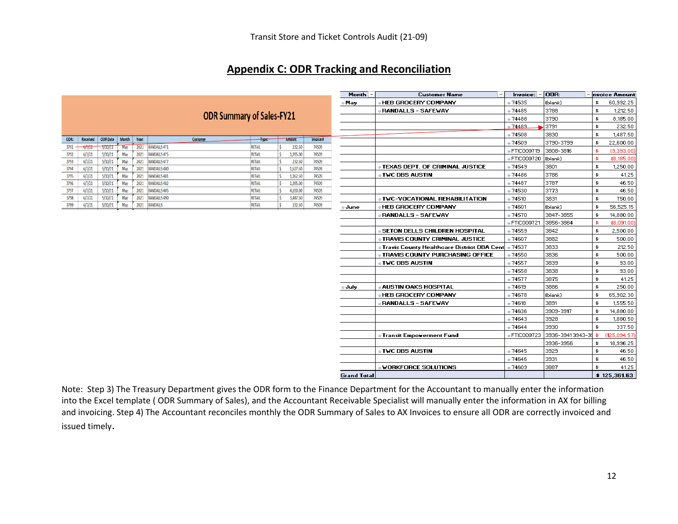#### **Appendix C: ODR Tracking and Reconciliation**

|      |                     |                 |       |       | <b>ODR Summary of Sales-FY21</b> |               |               |           |
|------|---------------------|-----------------|-------|-------|----------------------------------|---------------|---------------|-----------|
| ODR: | Received            | <b>ODR</b> Date | Month | Year: | Customer                         | Type:         | Amount        | Invoice # |
| 3791 | a des des<br>0/1/21 | 5/10/21         | May   | 2021  | RANDALLS 471                     | <b>RETAIL</b> | 232.50        | 74509     |
| 3792 | 6/7/21              | 5/10/21         | May   | 2021  | RANDALLS 475                     | <b>RETAIL</b> | Ś<br>1,395.00 | 74509     |
| 3793 | 6/7/21              | 5/10/21         | May   | 2021  | RANDALLS 477                     | <b>RETAIL</b> | 232.50        | 74509     |
| 3794 | 6/7/21              | 5/10/21         | May   | 2021  | RANDALLS 480                     | <b>RETAIL</b> | 1,627.50      | 74509     |
| 3795 | 6/7/21              | 5/10/21         | May   | 2021  | RANDALLS 481                     | <b>RETAIL</b> | Ś<br>1,162.50 | 74509     |
| 3796 | 6/7/21              | 5/10/21         | May   | 2021  | RANDALLS 482                     | <b>RETAIL</b> | 1,395.00      | 74509     |
| 3797 | 6/7/21              | 5/10/21         | May   | 2021  | RANDALLS 485                     | <b>RETAIL</b> | Ś<br>4,650.00 | 74509     |
| 3798 | 6/7/21              | 5/10/21         | May   | 2021  | RANDALLS 490                     | <b>RETAIL</b> | Ś<br>3,487.50 | 74509     |
| 3799 | 6/7/21              | 5/10/21         | May   | 2021  | <b>RANDALLS</b>                  | <b>RETAIL</b> | 232.50        | 74509     |

| Month $-$          | <b>Customer Name</b>                                | $ $ nvoice: $ $ = $ $ | ODR:             | nvoice Amount:     |
|--------------------|-----------------------------------------------------|-----------------------|------------------|--------------------|
| o May              | <b>. HEB GROCERY COMPANY</b>                        | ·74535                | (blank)          | \$<br>60,992.25    |
|                    | <b>• RANDALLS - SAFEWAY</b>                         | ·74485                | 3788             | \$<br>1,212.50     |
|                    |                                                     | 0.74488               | 3790             | \$<br>8,185.00     |
|                    |                                                     | ·74489                | 3791             | \$<br>232.50       |
|                    |                                                     | ·74508                | 3830             | \$<br>1,487.50     |
|                    |                                                     | a 74509               | 3790-3799        | \$<br>22,600.00    |
|                    |                                                     | · FTIC000719          | 3808-3816        | \$<br>(9,393,00)   |
|                    |                                                     | · FTIC000720          | (blank)          | \$<br>(8, 185.00)  |
|                    | <b>O TEXAS DEPT. OF CRIMINAL JUSTICE</b>            | · 74549               | 3801             | \$<br>1,250.00     |
|                    | <b>• TWC DBS AUSTIN</b>                             | ·74486                | 3786             | \$<br>41.25        |
|                    |                                                     | ■ 74487               | 3787             | \$<br>46.50        |
|                    |                                                     | ·74530                | 3773             | \$<br>46.50        |
|                    | <b>O TWC-VOCATIONAL REHABILITATION</b>              | 0.74510               | 3831             | \$<br>750.00       |
| ® June             | <b>. HEB GROCERY COMPANY</b>                        | 0.74601               | (blank)          | \$<br>56,525.15    |
|                    | <b>BRANDALLS - SAFEWAY</b>                          | ⊕74570                | 3847-3855        | \$<br>14,880.00    |
|                    |                                                     | ● FTIC000721          | 3856-3864        | \$<br>(8,091.00)   |
|                    | <b>. SETON DELLS CHILDREN HOSPITAL</b>              | ⊕74559                | 3842             | \$<br>2,500.00     |
|                    | <b>. TRAVIS COUNTY CRIMINAL JUSTICE</b>             | 0.74607               | 3882             | \$<br>500.00       |
|                    | <b>O Travis County Healthcare District DBA Cent</b> | ◎ 74537               | 3833             | \$<br>212.50       |
|                    | <b>. TRAVIS COUNTY PURCHASING OFFICE</b>            | ·74550                | 3836             | \$<br>500.00       |
|                    | <b>• TWC DBS AUSTIN</b>                             | · 74557               | 3839             | \$<br>93.00        |
|                    |                                                     | · 74558               | 3838             | \$<br>93.00        |
|                    |                                                     | ● 74577               | 3875             | \$<br>41.25        |
| o July             | <b>. AUSTIN OAKS HOSPITAL</b>                       | ⊕74619                | 3886             | \$<br>250.00       |
|                    | <b>. HEB GROCERY COMPANY</b>                        | ·74678                | (blank)          | \$<br>65,902.30    |
|                    | <b>• RANDALLS - SAFEWAY</b>                         | ⊚74618                | 3891             | \$<br>1,555.50     |
|                    |                                                     | ◎ 74636               | 3909-3917        | \$<br>14,880.00    |
|                    |                                                     | ·74643                | 3928             | \$<br>1,880.50     |
|                    |                                                     | 0.74644               | 3930             | \$<br>337.50       |
|                    | <b>. Transit Empowerment Fund</b>                   | ● FTIC000723          | 3936-39413943-39 | \$<br>(125,094,57) |
|                    |                                                     |                       | 3936-3956        | \$<br>18,996.25    |
|                    | <b>. TWC DBS AUSTIN</b>                             | ·74645                | 3929             | \$<br>46.50        |
|                    |                                                     | ·74646                | 3931             | \$<br>46.50        |
|                    | <b>. WORKFORCE SOLUTIONS</b>                        | ·74609                | 3887             | \$<br>41.25        |
| <b>Grand Total</b> |                                                     |                       |                  | \$125,361.63       |

Note: Step 3) The Treasury Department gives the ODR form to the Finance Department for the Accountant to manually enter the information into the Excel template ( ODR Summary of Sales), and the Accountant Receivable Specialist will manually enter the information in AX for billing and invoicing. Step 4) The Accountant reconciles monthly the ODR Summary of Sales to AX Invoices to ensure all ODR are correctly invoiced and issued timely.